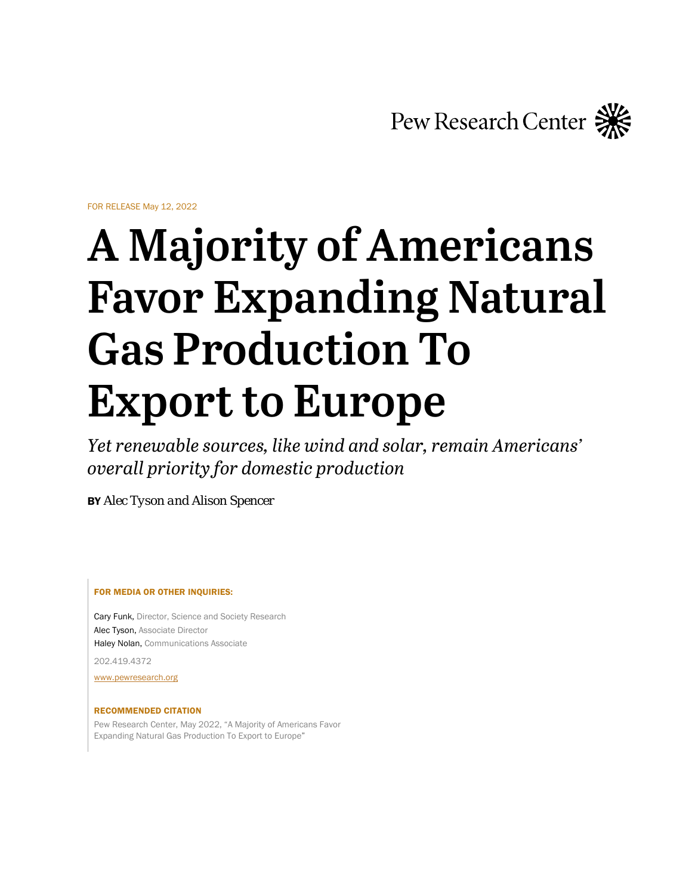Pew Research Center

FOR RELEASE May 12, 2022

# **A Majority of Americans Favor Expanding Natural Gas Production To Export to Europe**

*Yet renewable sources, like wind and solar, remain Americans' overall priority for domestic production*

BY *Alec Tyson and Alison Spencer*

FOR MEDIA OR OTHER INQUIRIES:

Cary Funk, Director, Science and Society Research Alec Tyson, Associate Director Haley Nolan, Communications Associate

202.419.4372

[www.pewresearch.org](http://www.pewresearch.org/)

#### RECOMMENDED CITATION

Pew Research Center, May 2022, "A Majority of Americans Favor Expanding Natural Gas Production To Export to Europe"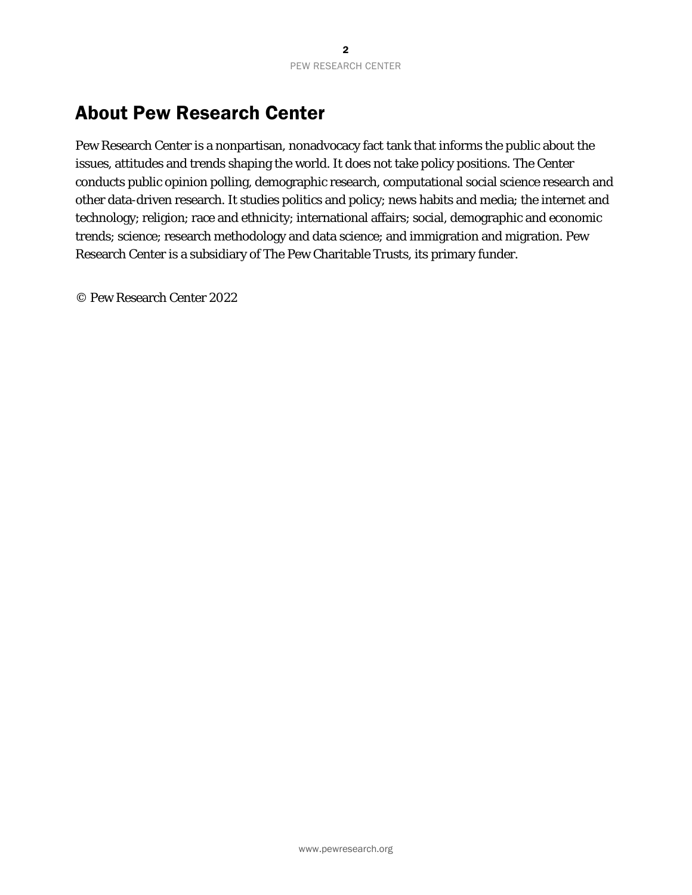# About Pew Research Center

Pew Research Center is a nonpartisan, nonadvocacy fact tank that informs the public about the issues, attitudes and trends shaping the world. It does not take policy positions. The Center conducts public opinion polling, demographic research, computational social science research and other data-driven research. It studies politics and policy; news habits and media; the internet and technology; religion; race and ethnicity; international affairs; social, demographic and economic trends; science; research methodology and data science; and immigration and migration. Pew Research Center is a subsidiary of The Pew Charitable Trusts, its primary funder.

© Pew Research Center 2022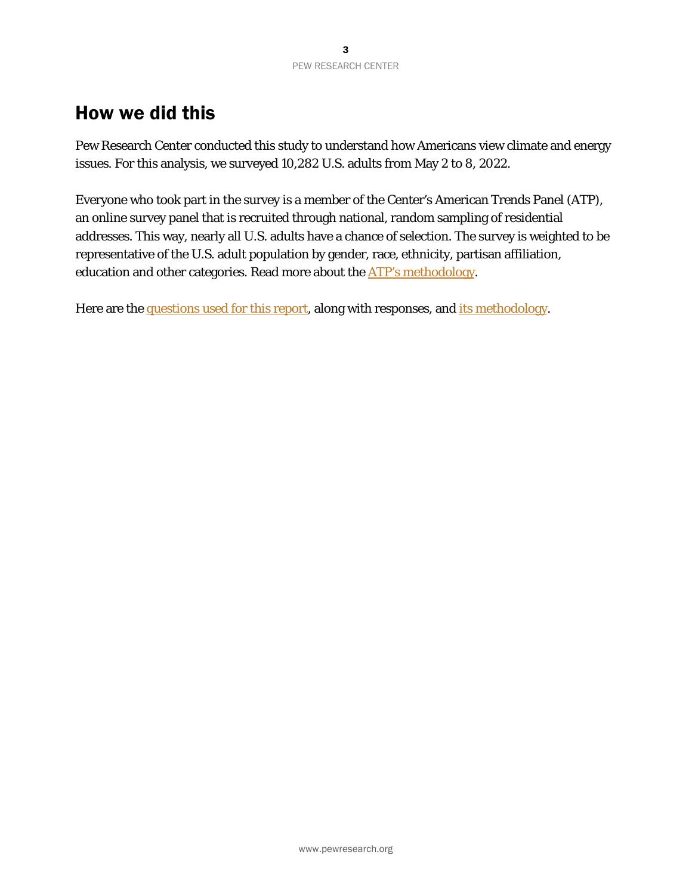# How we did this

Pew Research Center conducted this study to understand how Americans view climate and energy issues. For this analysis, we surveyed 10,282 U.S. adults from May 2 to 8, 2022.

Everyone who took part in the survey is a member of the Center's American Trends Panel (ATP), an online survey panel that is recruited through national, random sampling of residential addresses. This way, nearly all U.S. adults have a chance of selection. The survey is weighted to be representative of the U.S. adult population by gender, race, ethnicity, partisan affiliation, education and other categories. Read more about the **ATP's methodology**.

Here are th[e questions used for this report,](#page-20-0) along with responses, and [its methodology.](#page-3-0)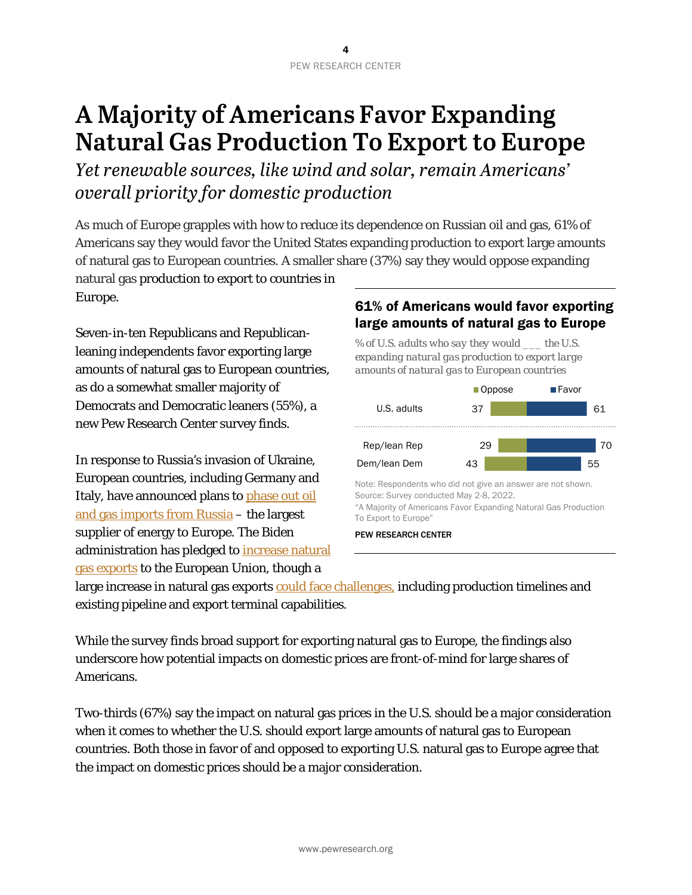# <span id="page-3-0"></span>**A Majority of Americans Favor Expanding Natural Gas Production To Export to Europe**

*Yet renewable sources, like wind and solar, remain Americans' overall priority for domestic production*

As much of Europe grapples with how to reduce its dependence on Russian oil and gas, 61% of Americans say they would favor the United States expanding production to export large amounts of natural gas to European countries. A smaller share (37%) say they would oppose expanding

natural gas production to export to countries in Europe.

Seven-in-ten Republicans and Republicanleaning independents favor exporting large amounts of natural gas to European countries, as do a somewhat smaller majority of Democrats and Democratic leaners (55%), a new Pew Research Center survey finds.

In response to Russia's invasion of Ukraine, European countries, including Germany and Italy, have announced plans to [phase out oil](https://apnews.com/article/russia-ukraine-business-europe-paris-european-union-f48482d9cc49497c186f85f556181322)  [and gas imports](https://apnews.com/article/russia-ukraine-business-europe-paris-european-union-f48482d9cc49497c186f85f556181322) from Russia – the largest supplier of energy to Europe. The Biden administration has pledged to [increase natural](https://www.reuters.com/business/energy/us-sell-more-lng-europe-help-it-cut-dependence-russia-biden-2022-03-25/)  [gas exports](https://www.reuters.com/business/energy/us-sell-more-lng-europe-help-it-cut-dependence-russia-biden-2022-03-25/) to the European Union, though a

## 61% of Americans would favor exporting large amounts of natural gas to Europe

*% of U.S. adults who say they would \_\_\_ the U.S. expanding natural gas production to export large amounts of natural gas to European countries*



large increase in natural gas exports [could face challenges,](https://www.nytimes.com/2022/05/05/business/energy-environment/natural-gas-europe-russia-ukraine.html) including production timelines and existing pipeline and export terminal capabilities.

While the survey finds broad support for exporting natural gas to Europe, the findings also underscore how potential impacts on domestic prices are front-of-mind for large shares of Americans.

Two-thirds (67%) say the impact on natural gas prices in the U.S. should be a major consideration when it comes to whether the U.S. should export large amounts of natural gas to European countries. Both those in favor of and opposed to exporting U.S. natural gas to Europe agree that the impact on domestic prices should be a major consideration.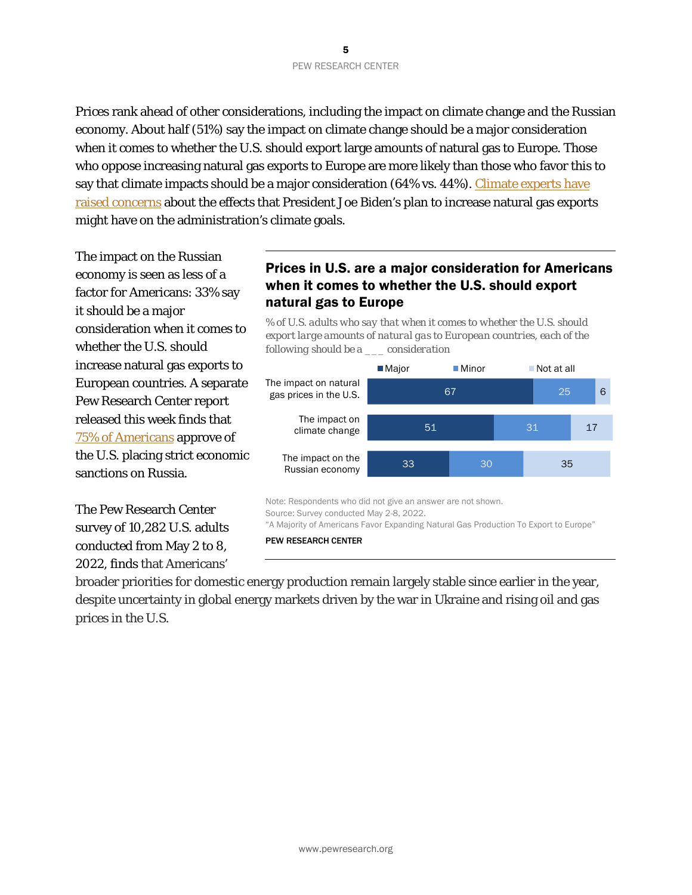Prices rank ahead of other considerations, including the impact on climate change and the Russian economy. About half (51%) say the impact on climate change should be a major consideration when it comes to whether the U.S. should export large amounts of natural gas to Europe. Those who oppose increasing natural gas exports to Europe are more likely than those who favor this to say that climate impacts should be a major consideration (64% vs. 44%). Climate experts have [raised concerns](https://www.reuters.com/business/energy/biden-plan-aid-europe-with-lng-poses-risk-us-climate-goals-2022-04-14/) about the effects that President Joe Biden's plan to increase natural gas exports might have on the administration's climate goals.

The impact on the Russian economy is seen as less of a factor for Americans: 33% say it should be a major consideration when it comes to whether the U.S. should increase natural gas exports to European countries. A separate Pew Research Center report released this week finds that [75% of Americans](https://www.pewresearch.org/politics/2022/05/10/americans-concerns-about-war-in-ukraine-wider-conflict-possible-u-s-russia-clash/) approve of the U.S. placing strict economic sanctions on Russia.

The Pew Research Center survey of 10,282 U.S. adults conducted from May 2 to 8, 2022, finds that Americans'

## Prices in U.S. are a major consideration for Americans when it comes to whether the U.S. should export natural gas to Europe

*% of U.S. adults who say that when it comes to whether the U.S. should export large amounts of natural gas to European countries, each of the following should be a \_\_\_ consideration*



Note: Respondents who did not give an answer are not shown. Source: Survey conducted May 2-8, 2022. "A Majority of Americans Favor Expanding Natural Gas Production To Export to Europe"

PEW RESEARCH CENTER

broader priorities for domestic energy production remain largely stable since earlier in the year, despite uncertainty in global energy markets driven by the war in Ukraine and rising oil and gas prices in the U.S.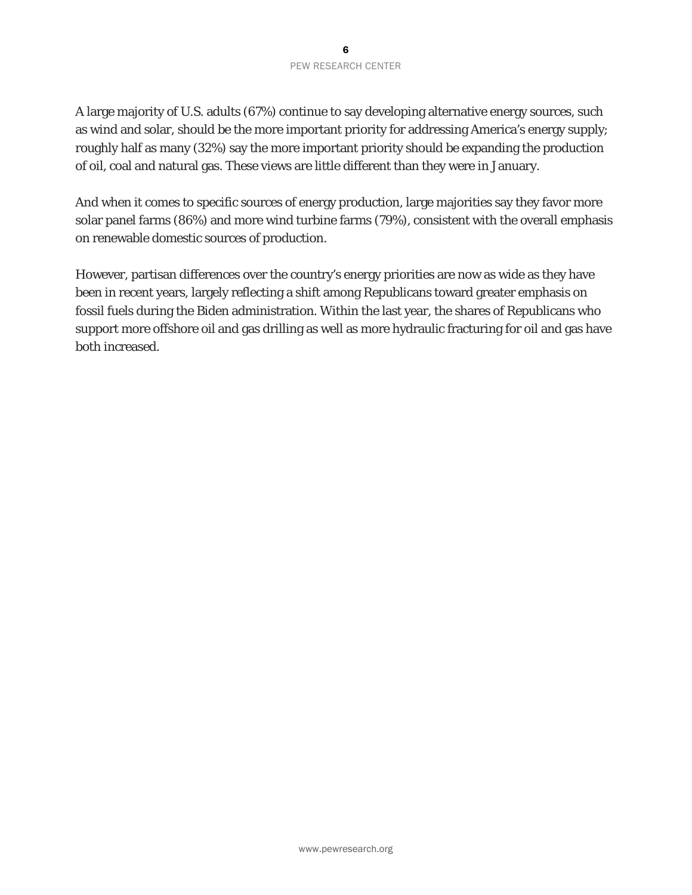#### 6 PEW RESEARCH CENTER

A large majority of U.S. adults (67%) continue to say developing alternative energy sources, such as wind and solar, should be the more important priority for addressing America's energy supply; roughly half as many (32%) say the more important priority should be expanding the production of oil, coal and natural gas. These views are little different than they were in January.

And when it comes to specific sources of energy production, large majorities say they favor more solar panel farms (86%) and more wind turbine farms (79%), consistent with the overall emphasis on renewable domestic sources of production.

However, partisan differences over the country's energy priorities are now as wide as they have been in recent years, largely reflecting a shift among Republicans toward greater emphasis on fossil fuels during the Biden administration. Within the last year, the shares of Republicans who support more offshore oil and gas drilling as well as more hydraulic fracturing for oil and gas have both increased.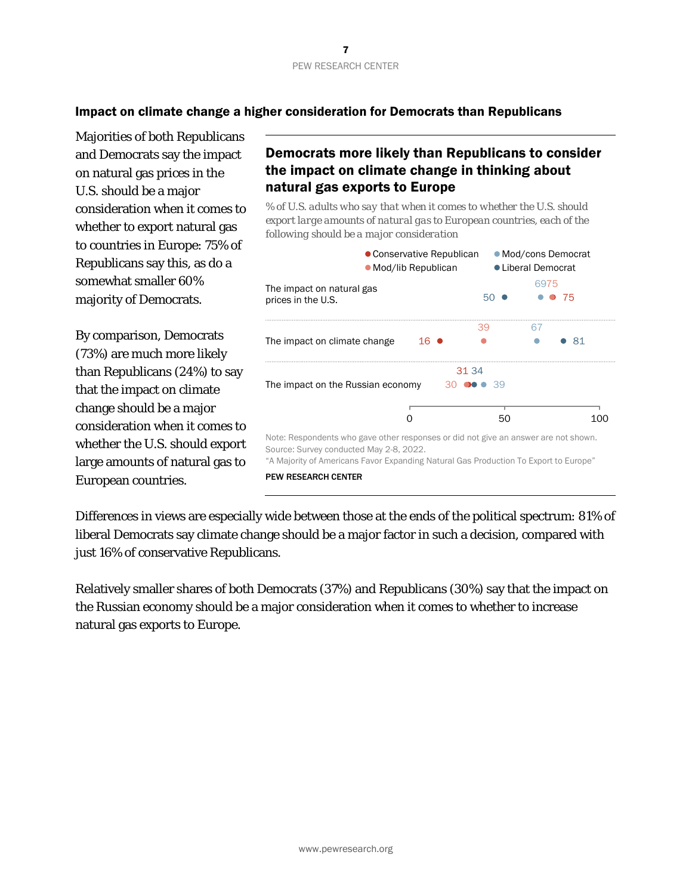

#### Impact on climate change a higher consideration for Democrats than Republicans

Majorities of both Republicans and Democrats say the impact on natural gas prices in the U.S. should be a major consideration when it comes to whether to export natural gas to countries in Europe: 75% of Republicans say this, as do a somewhat smaller 60% majority of Democrats.

By comparison, Democrats (73%) are much more likely than Republicans (24%) to say that the impact on climate change should be a major consideration when it comes to whether the U.S. should export large amounts of natural gas to European countries.

## Democrats more likely than Republicans to consider the impact on climate change in thinking about natural gas exports to Europe

*% of U.S. adults who say that when it comes to whether the U.S. should export large amounts of natural gas to European countries, each of the following should be a major consideration*



Differences in views are especially wide between those at the ends of the political spectrum: 81% of liberal Democrats say climate change should be a major factor in such a decision, compared with just 16% of conservative Republicans.

Relatively smaller shares of both Democrats (37%) and Republicans (30%) say that the impact on the Russian economy should be a major consideration when it comes to whether to increase natural gas exports to Europe.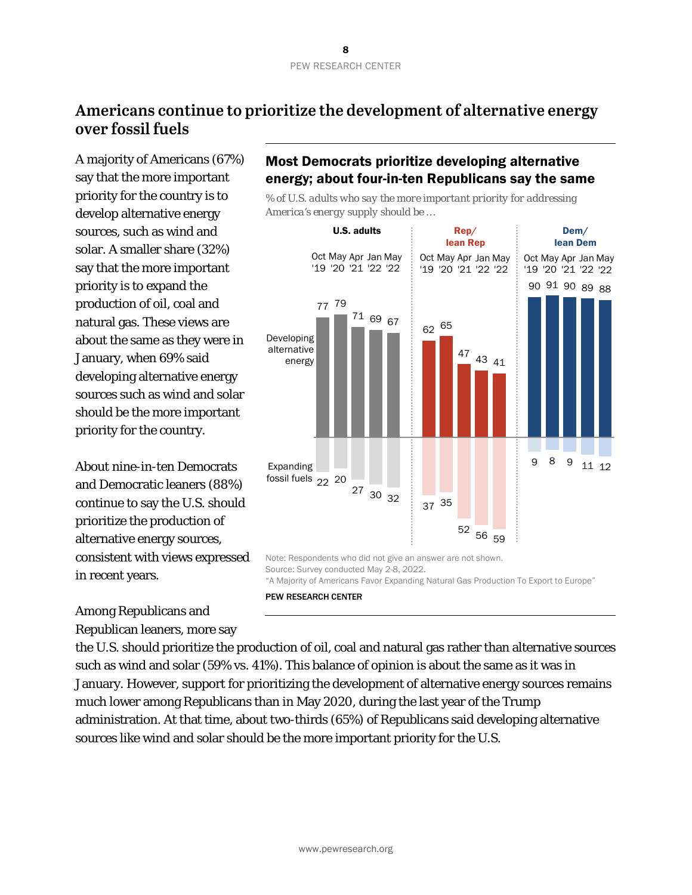# **Americans continue to prioritize the development of alternative energy over fossil fuels**

A majority of Americans (67%) say that the more important priority for the country is to develop alternative energy sources, such as wind and solar. A smaller share (32%) say that the more important priority is to expand the production of oil, coal and natural gas. These views are about the same as they were in January, when 69% said developing alternative energy sources such as wind and solar should be the more important priority for the country.

About nine-in-ten Democrats and Democratic leaners (88%) continue to say the U.S. should prioritize the production of alternative energy sources, consistent with views expressed in recent years.

Among Republicans and Republican leaners, more say

# Most Democrats prioritize developing alternative energy; about four-in-ten Republicans say the same

*% of U.S. adults who say the more important priority for addressing America's energy supply should be …*



"A Majority of Americans Favor Expanding Natural Gas Production To Export to Europe"

#### PEW RESEARCH CENTER

the U.S. should prioritize the production of oil, coal and natural gas rather than alternative sources such as wind and solar (59% vs. 41%). This balance of opinion is about the same as it was in January. However, support for prioritizing the development of alternative energy sources remains much lower among Republicans than in May 2020, during the last year of the Trump administration. At that time, about two-thirds (65%) of Republicans said developing alternative sources like wind and solar should be the more important priority for the U.S.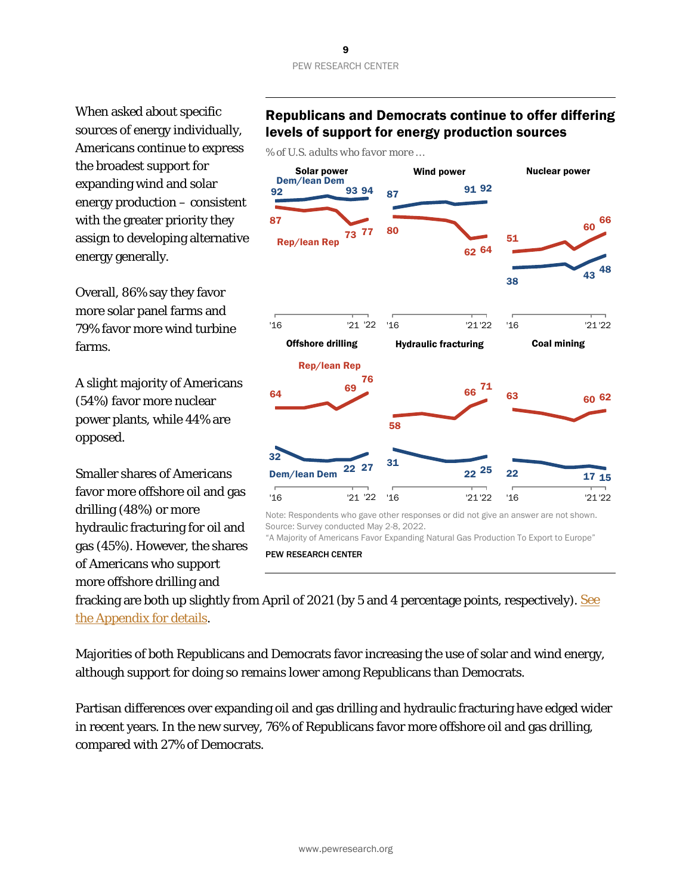#### 9 PEW RESEARCH CENTER

When asked about specific sources of energy individually, Americans continue to express the broadest support for expanding wind and solar energy production – consistent with the greater priority they assign to developing alternative energy generally.

Overall, 86% say they favor more solar panel farms and 79% favor more wind turbine farms.

A slight majority of Americans (54%) favor more nuclear power plants, while 44% are opposed.

Smaller shares of Americans favor more offshore oil and gas drilling (48%) or more hydraulic fracturing for oil and gas (45%). However, the shares of Americans who support more offshore drilling and

## Republicans and Democrats continue to offer differing levels of support for energy production sources

*% of U.S. adults who favor more …*



Note: Respondents who gave other responses or did not give an answer are not shown. Source: Survey conducted May 2-8, 2022.

"A Majority of Americans Favor Expanding Natural Gas Production To Export to Europe"

PEW RESEARCH CENTER

fracking are both up slightly from April of 2021 (by 5 and 4 percentage points, respectively). See [the Appendix for details.](#page-19-0)

Majorities of both Republicans and Democrats favor increasing the use of solar and wind energy, although support for doing so remains lower among Republicans than Democrats.

Partisan differences over expanding oil and gas drilling and hydraulic fracturing have edged wider in recent years. In the new survey, 76% of Republicans favor more offshore oil and gas drilling, compared with 27% of Democrats.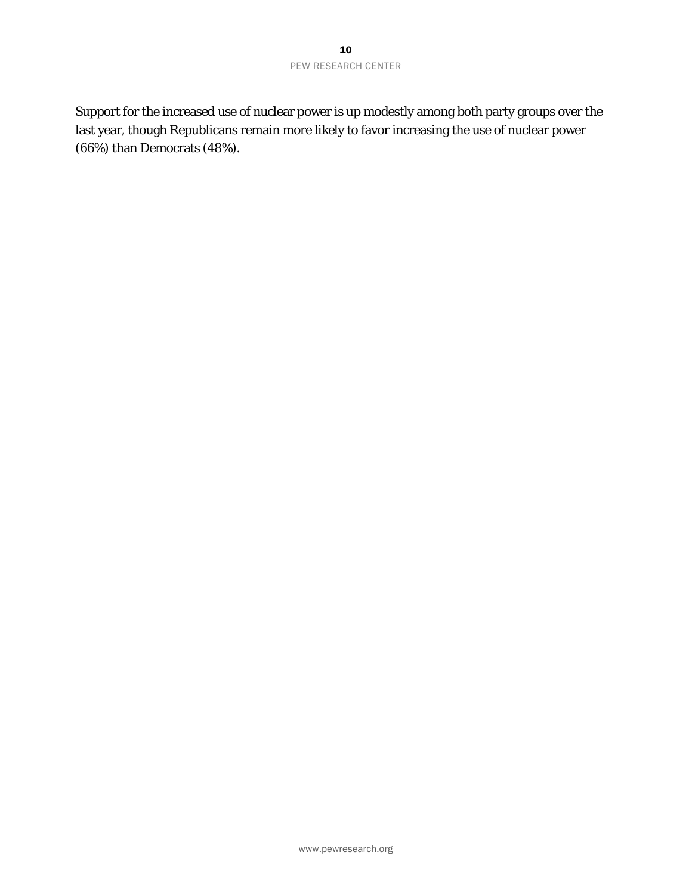Support for the increased use of nuclear power is up modestly among both party groups over the last year, though Republicans remain more likely to favor increasing the use of nuclear power (66%) than Democrats (48%).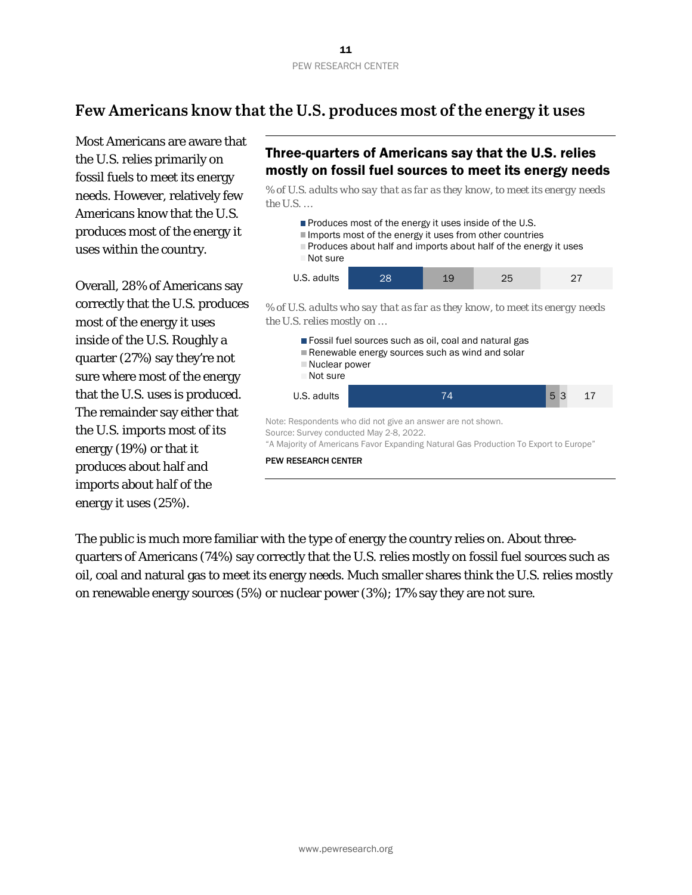# **Few Americans know that the U.S. produces most of the energy it uses**

Most Americans are aware that the U.S. relies primarily on fossil fuels to meet its energy needs. However, relatively few Americans know that the U.S. produces most of the energy it uses within the country.

Overall, 28% of Americans say correctly that the U.S. produces most of the energy it uses inside of the U.S. Roughly a quarter (27%) say they're not sure where most of the energy that the U.S. uses is produced. The remainder say either that the U.S. imports most of its energy (19%) or that it produces about half and imports about half of the energy it uses (25%).

# Three-quarters of Americans say that the U.S. relies mostly on fossil fuel sources to meet its energy needs

*% of U.S. adults who say that as far as they know, to meet its energy needs the U.S. …*



*% of U.S. adults who say that as far as they know, to meet its energy needs the U.S. relies mostly on …*



PEW RESEARCH CENTER

The public is much more familiar with the type of energy the country relies on. About threequarters of Americans (74%) say correctly that the U.S. relies mostly on fossil fuel sources such as oil, coal and natural gas to meet its energy needs. Much smaller shares think the U.S. relies mostly on renewable energy sources (5%) or nuclear power (3%); 17% say they are not sure.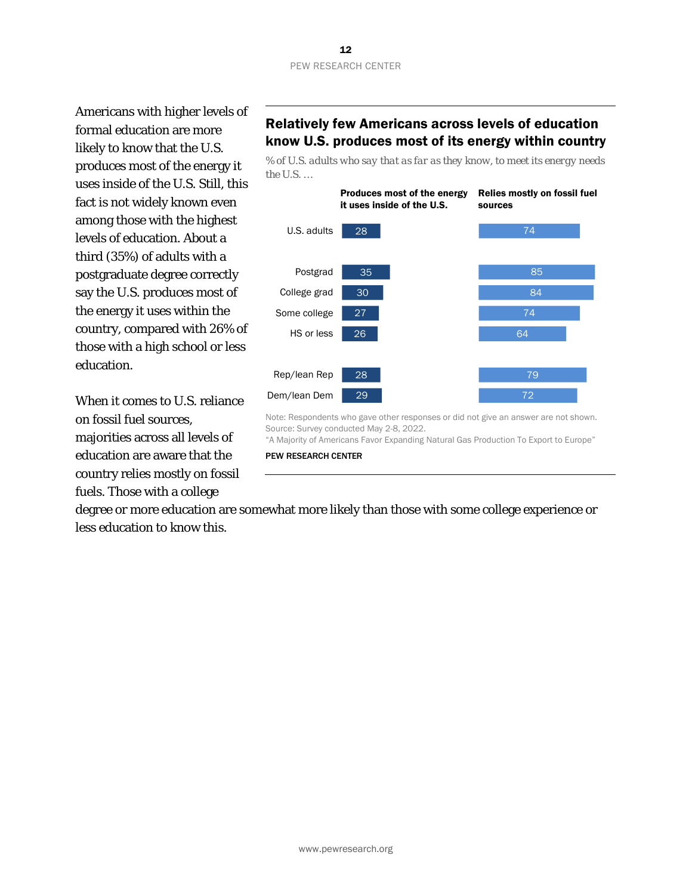Americans with higher levels of formal education are more likely to know that the U.S. produces most of the energy it uses inside of the U.S. Still, this fact is not widely known even among those with the highest levels of education. About a third (35%) of adults with a postgraduate degree correctly say the U.S. produces most of the energy it uses within the country, compared with 26% of those with a high school or less education.

When it comes to U.S. reliance on fossil fuel sources, majorities across all levels of education are aware that the country relies mostly on fossil fuels. Those with a college

# Relatively few Americans across levels of education know U.S. produces most of its energy within country

*% of U.S. adults who say that as far as they know, to meet its energy needs the U.S. …*



Note: Respondents who gave other responses or did not give an answer are not shown. Source: Survey conducted May 2-8, 2022.

"A Majority of Americans Favor Expanding Natural Gas Production To Export to Europe"

#### PEW RESEARCH CENTER

degree or more education are somewhat more likely than those with some college experience or less education to know this.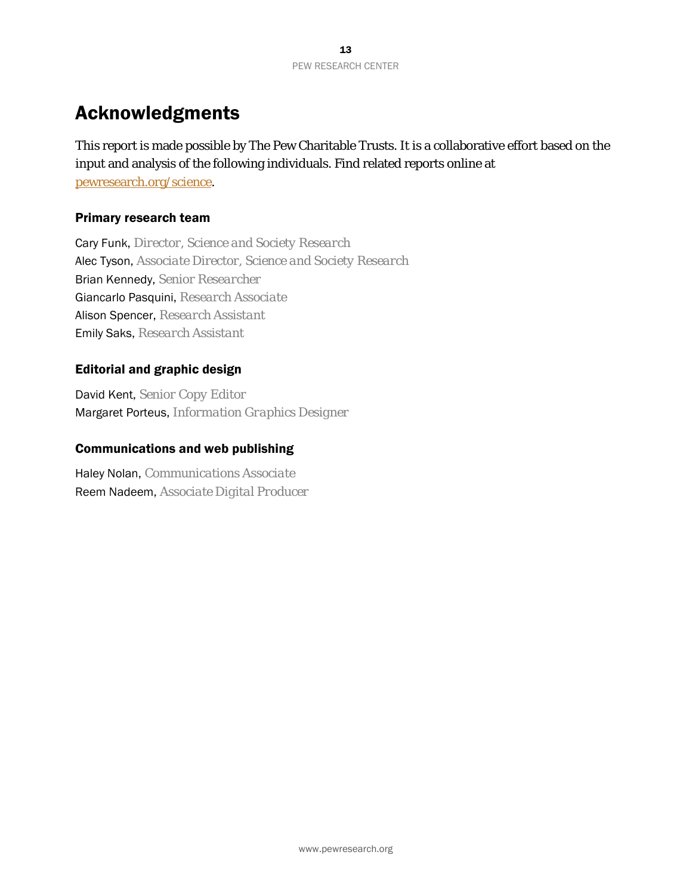# Acknowledgments

This report is made possible by The Pew Charitable Trusts. It is a collaborative effort based on the input and analysis of the following individuals. Find related reports online at [pewresearch.org/science.](http://www.pewresearch.org/science/)

## Primary research team

Cary Funk, *Director, Science and Society Research* Alec Tyson, *Associate Director, Science and Society Research* Brian Kennedy, *Senior Researcher* Giancarlo Pasquini, *Research Associate* Alison Spencer, *Research Assistant* Emily Saks, *Research Assistant*

## Editorial and graphic design

David Kent, *Senior Copy Editor* Margaret Porteus, *Information Graphics Designer*

#### Communications and web publishing

Haley Nolan, *Communications Associate* Reem Nadeem, *Associate Digital Producer*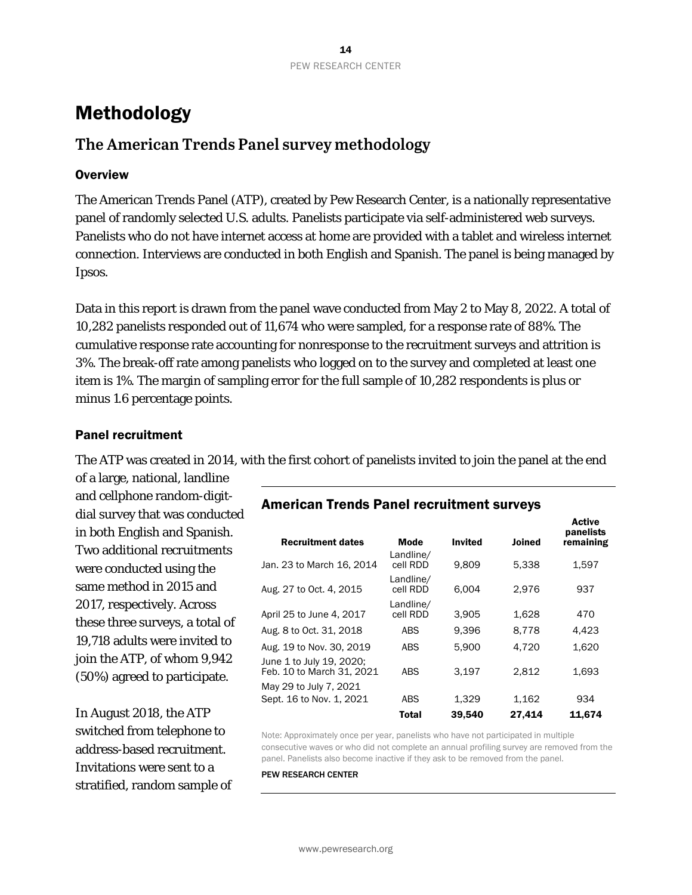# Methodology

# **The American Trends Panel survey methodology**

#### **Overview**

The American Trends Panel (ATP), created by Pew Research Center, is a nationally representative panel of randomly selected U.S. adults. Panelists participate via self-administered web surveys. Panelists who do not have internet access at home are provided with a tablet and wireless internet connection. Interviews are conducted in both English and Spanish. The panel is being managed by Ipsos.

Data in this report is drawn from the panel wave conducted from May 2 to May 8, 2022. A total of 10,282 panelists responded out of 11,674 who were sampled, for a response rate of 88%. The cumulative response rate accounting for nonresponse to the recruitment surveys and attrition is 3%. The break-off rate among panelists who logged on to the survey and completed at least one item is 1%. The margin of sampling error for the full sample of 10,282 respondents is plus or minus 1.6 percentage points.

#### Panel recruitment

The ATP was created in 2014, with the first cohort of panelists invited to join the panel at the end

of a large, national, landline and cellphone random-digitdial survey that was conducted in both English and Spanish. Two additional recruitments were conducted using the same method in 2015 and 2017, respectively. Across these three surveys, a total of 19,718 adults were invited to join the ATP, of whom 9,942 (50%) agreed to participate.

In August 2018, the ATP switched from telephone to address-based recruitment. Invitations were sent to a stratified, random sample of

## American Trends Panel recruitment surveys

| <b>Recruitment dates</b>                              | <b>Mode</b>           | <b>Invited</b> | <b>Joined</b> | panelists<br>remaining |
|-------------------------------------------------------|-----------------------|----------------|---------------|------------------------|
| Jan. 23 to March 16, 2014                             | Landline/<br>cell RDD | 9,809          | 5,338         | 1,597                  |
| Aug. 27 to Oct. 4, 2015                               | Landline/<br>cell RDD | 6.004          | 2,976         | 937                    |
| April 25 to June 4, 2017                              | Landline/<br>cell RDD | 3.905          | 1.628         | 470                    |
| Aug. 8 to Oct. 31, 2018                               | <b>ABS</b>            | 9.396          | 8.778         | 4.423                  |
| Aug. 19 to Nov. 30, 2019                              | <b>ABS</b>            | 5.900          | 4.720         | 1,620                  |
| June 1 to July 19, 2020;<br>Feb. 10 to March 31, 2021 | <b>ABS</b>            | 3.197          | 2.812         | 1,693                  |
| May 29 to July 7, 2021                                |                       |                |               |                        |
| Sept. 16 to Nov. 1, 2021                              | <b>ABS</b>            | 1,329          | 1,162         | 934                    |
|                                                       | <b>Total</b>          | 39,540         | 27,414        | 11.674                 |

**Active** 

Note: Approximately once per year, panelists who have not participated in multiple consecutive waves or who did not complete an annual profiling survey are removed from the panel. Panelists also become inactive if they ask to be removed from the panel.

#### PEW RESEARCH CENTER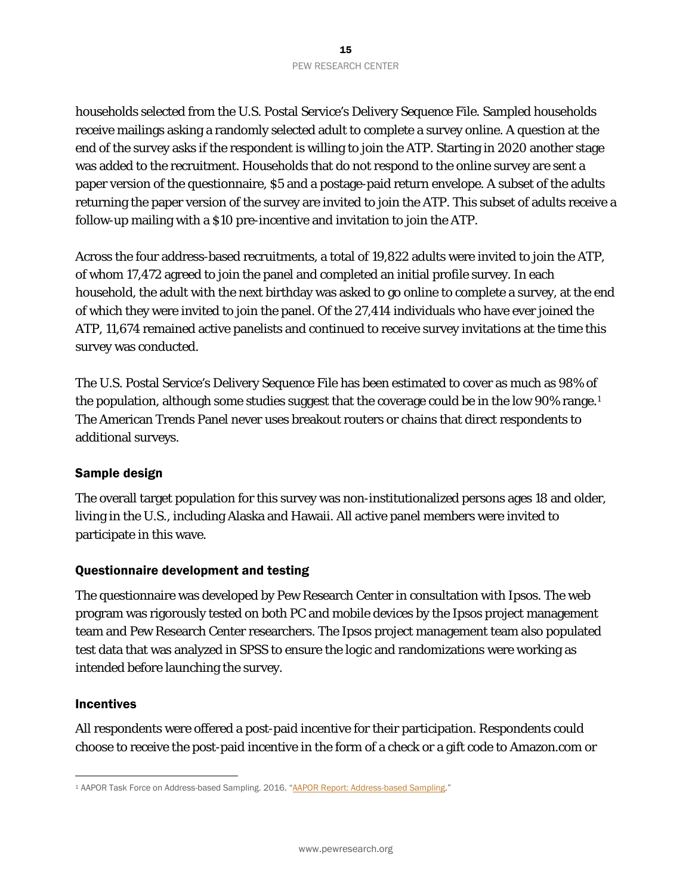households selected from the U.S. Postal Service's Delivery Sequence File. Sampled households receive mailings asking a randomly selected adult to complete a survey online. A question at the end of the survey asks if the respondent is willing to join the ATP. Starting in 2020 another stage was added to the recruitment. Households that do not respond to the online survey are sent a paper version of the questionnaire, \$5 and a postage-paid return envelope. A subset of the adults returning the paper version of the survey are invited to join the ATP. This subset of adults receive a follow-up mailing with a \$10 pre-incentive and invitation to join the ATP.

Across the four address-based recruitments, a total of 19,822 adults were invited to join the ATP, of whom 17,472 agreed to join the panel and completed an initial profile survey. In each household, the adult with the next birthday was asked to go online to complete a survey, at the end of which they were invited to join the panel. Of the 27,414 individuals who have ever joined the ATP, 11,674 remained active panelists and continued to receive survey invitations at the time this survey was conducted.

The U.S. Postal Service's Delivery Sequence File has been estimated to cover as much as 98% of the population, although some studies suggest that the coverage could be in the low 90% range.<sup>1</sup> The American Trends Panel never uses breakout routers or chains that direct respondents to additional surveys.

#### Sample design

The overall target population for this survey was non-institutionalized persons ages 18 and older, living in the U.S., including Alaska and Hawaii. All active panel members were invited to participate in this wave.

#### Questionnaire development and testing

The questionnaire was developed by Pew Research Center in consultation with Ipsos. The web program was rigorously tested on both PC and mobile devices by the Ipsos project management team and Pew Research Center researchers. The Ipsos project management team also populated test data that was analyzed in SPSS to ensure the logic and randomizations were working as intended before launching the survey.

#### Incentives

All respondents were offered a post-paid incentive for their participation. Respondents could choose to receive the post-paid incentive in the form of a check or a gift code to Amazon.com or

<span id="page-14-0"></span><sup>1</sup> AAPOR Task Force on Address-based Sampling. 2016. ["AAPOR Report: Address-based Sampling.](https://www.aapor.org/Education-Resources/Reports/Address-based-Sampling.aspx)"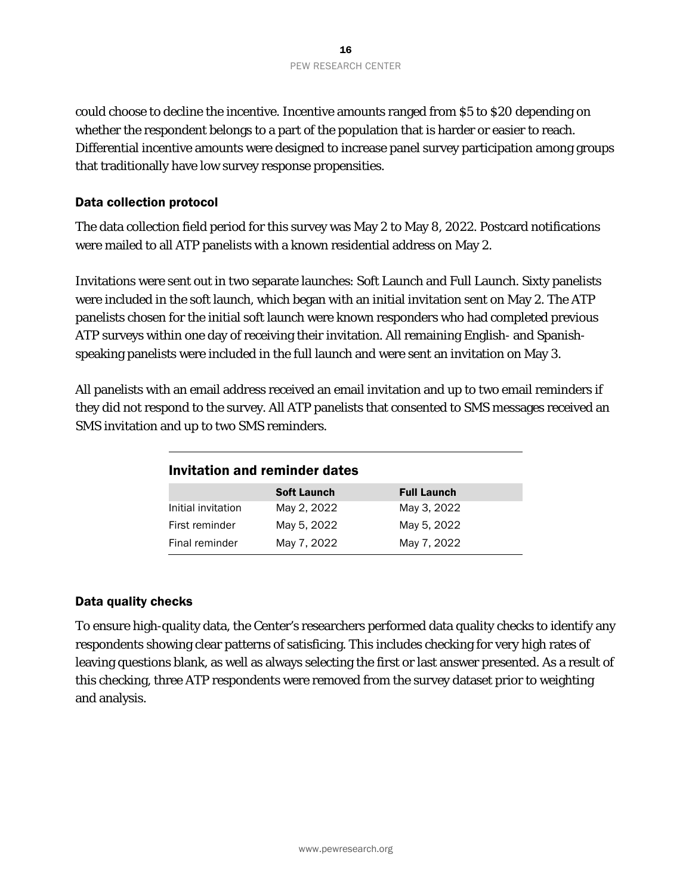could choose to decline the incentive. Incentive amounts ranged from \$5 to \$20 depending on whether the respondent belongs to a part of the population that is harder or easier to reach. Differential incentive amounts were designed to increase panel survey participation among groups that traditionally have low survey response propensities.

#### Data collection protocol

The data collection field period for this survey was May 2 to May 8, 2022. Postcard notifications were mailed to all ATP panelists with a known residential address on May 2.

Invitations were sent out in two separate launches: Soft Launch and Full Launch. Sixty panelists were included in the soft launch, which began with an initial invitation sent on May 2. The ATP panelists chosen for the initial soft launch were known responders who had completed previous ATP surveys within one day of receiving their invitation. All remaining English- and Spanishspeaking panelists were included in the full launch and were sent an invitation on May 3.

All panelists with an email address received an email invitation and up to two email reminders if they did not respond to the survey. All ATP panelists that consented to SMS messages received an SMS invitation and up to two SMS reminders.

| Invitation and reminder dates |                    |                    |  |
|-------------------------------|--------------------|--------------------|--|
|                               | <b>Soft Launch</b> | <b>Full Launch</b> |  |
| Initial invitation            | May 2, 2022        | May 3, 2022        |  |
| First reminder                | May 5, 2022        | May 5, 2022        |  |
| Final reminder                | May 7, 2022        | May 7, 2022        |  |

#### Data quality checks

To ensure high-quality data, the Center's researchers performed data quality checks to identify any respondents showing clear patterns of satisficing. This includes checking for very high rates of leaving questions blank, as well as always selecting the first or last answer presented. As a result of this checking, three ATP respondents were removed from the survey dataset prior to weighting and analysis.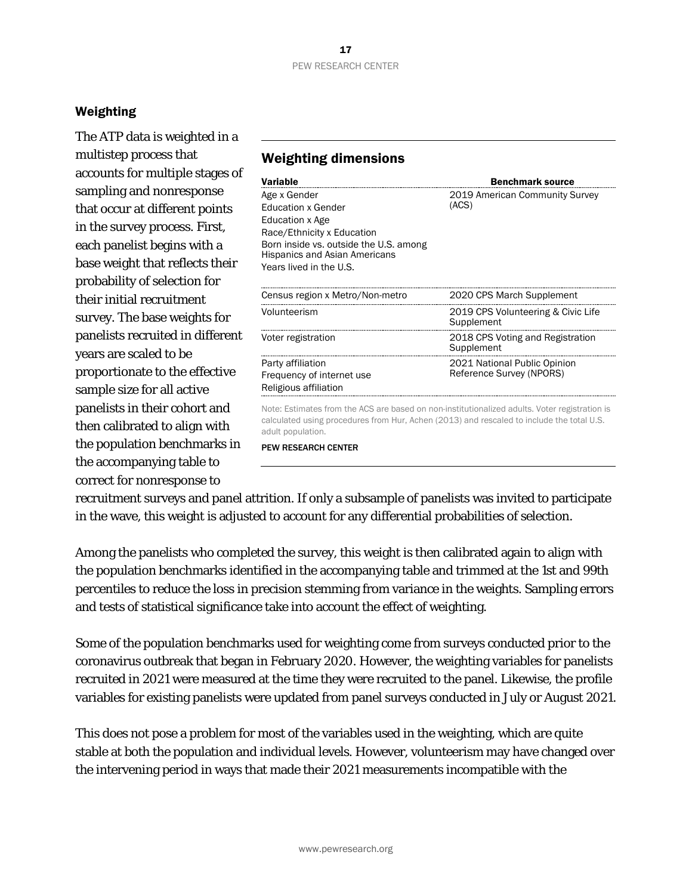## Weighting

The ATP data is weighted in a multistep process that accounts for multiple stages of sampling and nonresponse that occur at different points in the survey process. First, each panelist begins with a base weight that reflects their probability of selection for their initial recruitment survey. The base weights for panelists recruited in different years are scaled to be proportionate to the effective sample size for all active panelists in their cohort and then calibrated to align with the population benchmarks in the accompanying table to correct for nonresponse to

## Weighting dimensions

| <b>Variable</b>                                                                                                                                                                                         | <b>Benchmark source</b>                                  |
|---------------------------------------------------------------------------------------------------------------------------------------------------------------------------------------------------------|----------------------------------------------------------|
| Age x Gender<br><b>Education x Gender</b><br>Education x Age<br>Race/Ethnicity x Education<br>Born inside vs. outside the U.S. among<br><b>Hispanics and Asian Americans</b><br>Years lived in the U.S. | 2019 American Community Survey<br>(ACS)                  |
| Census region x Metro/Non-metro                                                                                                                                                                         | 2020 CPS March Supplement                                |
| Volunteerism                                                                                                                                                                                            | 2019 CPS Volunteering & Civic Life<br>Supplement         |
| Voter registration                                                                                                                                                                                      | 2018 CPS Voting and Registration<br>Supplement           |
| Party affiliation<br>Frequency of internet use<br>Religious affiliation                                                                                                                                 | 2021 National Public Opinion<br>Reference Survey (NPORS) |

Note: Estimates from the ACS are based on non-institutionalized adults. Voter registration is calculated using procedures from Hur, Achen (2013) and rescaled to include the total U.S. adult population.

PEW RESEARCH CENTER

recruitment surveys and panel attrition. If only a subsample of panelists was invited to participate in the wave, this weight is adjusted to account for any differential probabilities of selection.

Among the panelists who completed the survey, this weight is then calibrated again to align with the population benchmarks identified in the accompanying table and trimmed at the 1st and 99th percentiles to reduce the loss in precision stemming from variance in the weights. Sampling errors and tests of statistical significance take into account the effect of weighting.

Some of the population benchmarks used for weighting come from surveys conducted prior to the coronavirus outbreak that began in February 2020. However, the weighting variables for panelists recruited in 2021 were measured at the time they were recruited to the panel. Likewise, the profile variables for existing panelists were updated from panel surveys conducted in July or August 2021.

This does not pose a problem for most of the variables used in the weighting, which are quite stable at both the population and individual levels. However, volunteerism may have changed over the intervening period in ways that made their 2021 measurements incompatible with the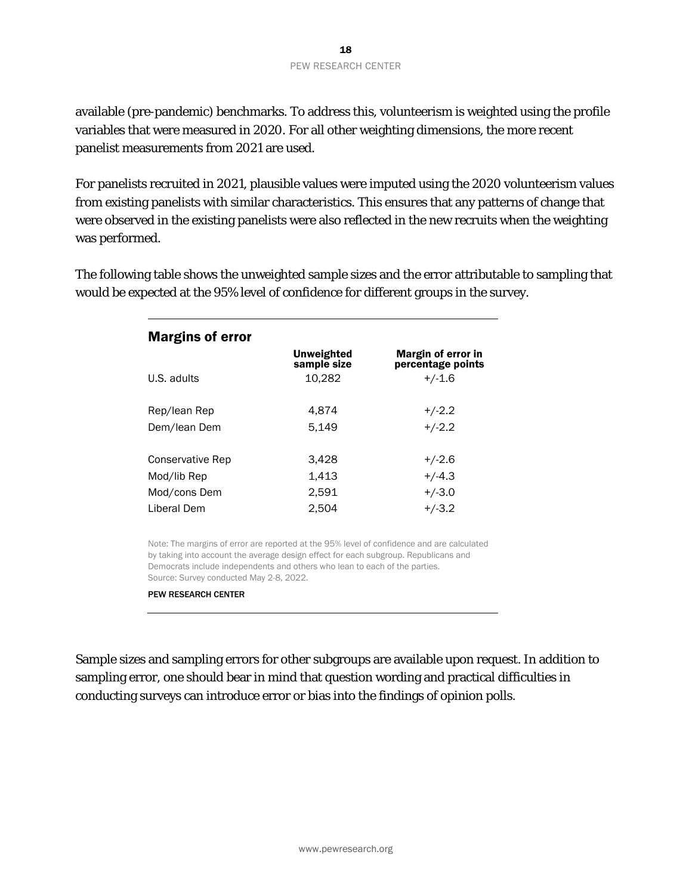available (pre-pandemic) benchmarks. To address this, volunteerism is weighted using the profile variables that were measured in 2020. For all other weighting dimensions, the more recent panelist measurements from 2021 are used.

For panelists recruited in 2021, plausible values were imputed using the 2020 volunteerism values from existing panelists with similar characteristics. This ensures that any patterns of change that were observed in the existing panelists were also reflected in the new recruits when the weighting was performed.

The following table shows the unweighted sample sizes and the error attributable to sampling that would be expected at the 95% level of confidence for different groups in the survey.

| <b>Margins of error</b> |                           |                                         |  |  |  |
|-------------------------|---------------------------|-----------------------------------------|--|--|--|
|                         | Unweighted<br>sample size | Margin of error in<br>percentage points |  |  |  |
| U.S. adults             | 10.282                    | $+/-1.6$                                |  |  |  |
|                         |                           |                                         |  |  |  |
| Rep/lean Rep            | 4.874                     | $+/-2.2$                                |  |  |  |
| Dem/lean Dem            | 5.149                     | $+/-2.2$                                |  |  |  |
| Conservative Rep        | 3,428                     | $+/-2.6$                                |  |  |  |
| Mod/lib Rep             | 1,413                     | $+/-4.3$                                |  |  |  |
| Mod/cons Dem            | 2.591                     | $+/-3.0$                                |  |  |  |
| Liberal Dem             | 2.504                     | $+/-3.2$                                |  |  |  |

Note: The margins of error are reported at the 95% level of confidence and are calculated by taking into account the average design effect for each subgroup. Republicans and Democrats include independents and others who lean to each of the parties. Source: Survey conducted May 2-8, 2022.

#### PEW RESEARCH CENTER

Sample sizes and sampling errors for other subgroups are available upon request. In addition to sampling error, one should bear in mind that question wording and practical difficulties in conducting surveys can introduce error or bias into the findings of opinion polls.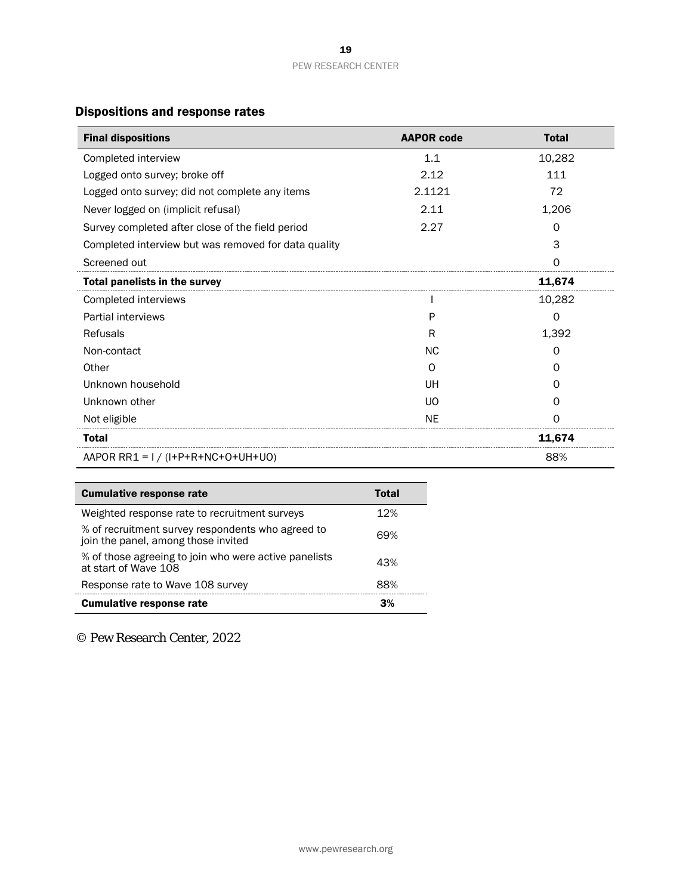## Dispositions and response rates

| <b>Final dispositions</b>                            | <b>AAPOR code</b> | <b>Total</b>      |
|------------------------------------------------------|-------------------|-------------------|
| Completed interview                                  | 1.1               | 10,282            |
| Logged onto survey; broke off                        | 2.12              | 111               |
| Logged onto survey; did not complete any items       | 2.1121            | 72                |
| Never logged on (implicit refusal)                   | 2.11              | 1,206             |
| Survey completed after close of the field period     | 2.27              | 0                 |
| Completed interview but was removed for data quality |                   | 3                 |
| Screened out                                         |                   | Ω                 |
| <b>Total panelists in the survey</b>                 |                   | 11,674            |
| Completed interviews                                 |                   | 10,282            |
| Partial interviews                                   | P                 | 0                 |
| Refusals                                             | R                 | 1,392             |
| Non-contact                                          | NC.               | $\Omega$          |
| Other                                                | ∩                 | $\mathbf{\Omega}$ |
| Unknown household                                    | UH                | O                 |
| Unknown other                                        | <b>UO</b>         | O                 |
| Not eligible                                         | ΝF                |                   |
| <b>Total</b>                                         |                   | 11.674            |
| AAPOR RR1 = $1 / (I+P+R+NC+O+UH+UO)$                 |                   | 88%               |

| <b>Cumulative response rate</b>                                                          | Total |
|------------------------------------------------------------------------------------------|-------|
| Weighted response rate to recruitment surveys                                            | 12%   |
| % of recruitment survey respondents who agreed to<br>join the panel, among those invited | 69%   |
| % of those agreeing to join who were active panelists<br>at start of Wave 108            | 43%   |
| Response rate to Wave 108 survey                                                         | 88%   |
| <b>Cumulative response rate</b>                                                          |       |

© Pew Research Center, 2022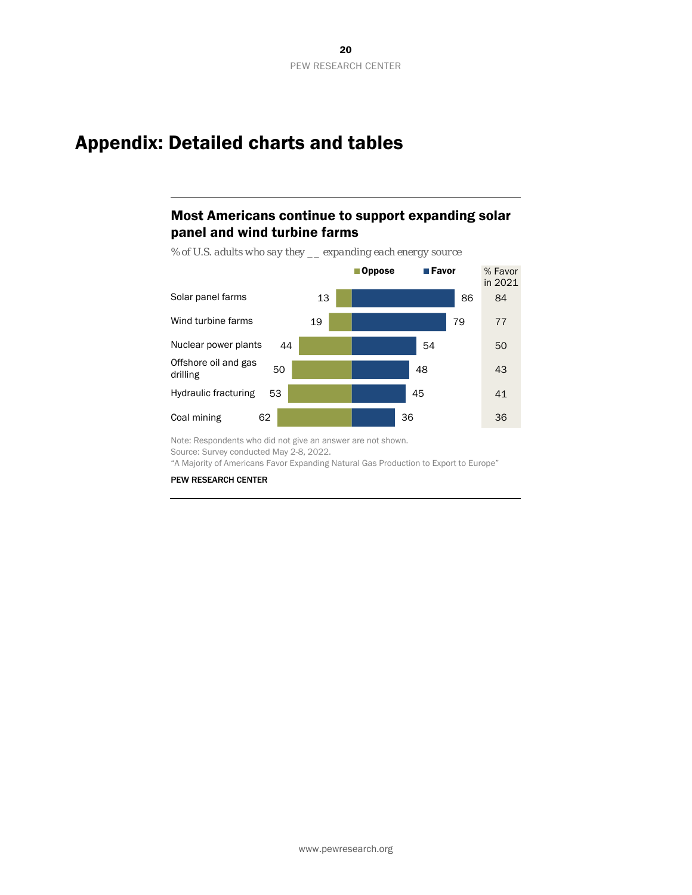# <span id="page-19-0"></span>Appendix: Detailed charts and tables

## Most Americans continue to support expanding solar panel and wind turbine farms

13 19 44 50 53 62 86 79 54 48 45 36 ■Oppose ■ Favor Solar panel farms Wind turbine farms Offshore oil and gas drilling Nuclear power plants Hydraulic fracturing Coal mining % Favor in 2021 84 41 43 50 77 36

*% of U.S. adults who say they \_\_ expanding each energy source*

Note: Respondents who did not give an answer are not shown. Source: Survey conducted May 2-8, 2022. "A Majority of Americans Favor Expanding Natural Gas Production to Export to Europe"

PEW RESEARCH CENTER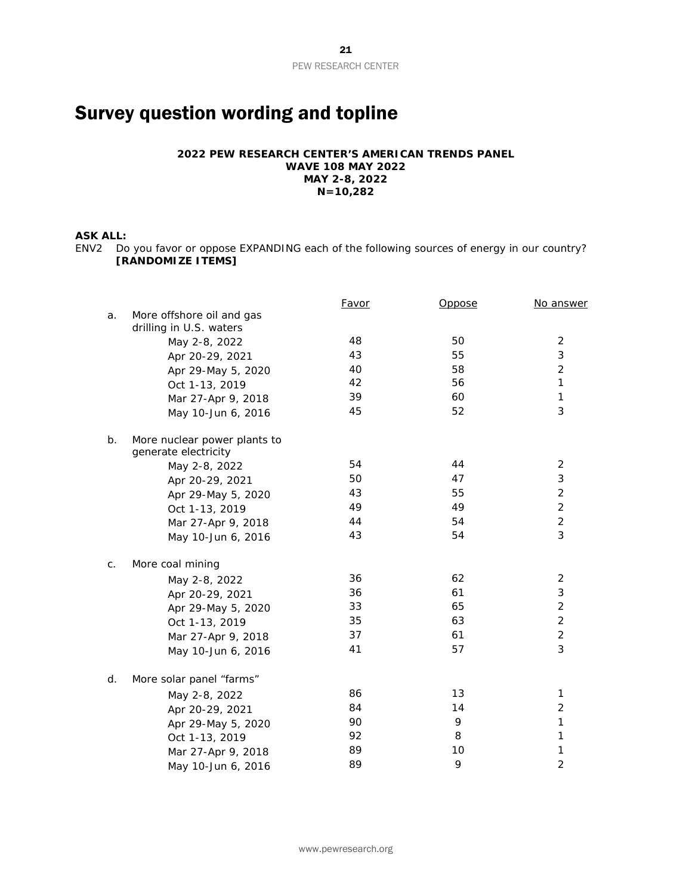# <span id="page-20-0"></span>Survey question wording and topline

#### **2022 PEW RESEARCH CENTER'S AMERICAN TRENDS PANEL WAVE 108 MAY 2022 MAY 2-8, 2022 N=10,282**

#### **ASK ALL:**

ENV2 Do you favor or oppose EXPANDING each of the following sources of energy in our country? **[RANDOMIZE ITEMS]**

|    |                                                      | <b>Favor</b> | <u>Oppose</u> | No answer      |
|----|------------------------------------------------------|--------------|---------------|----------------|
| a. | More offshore oil and gas                            |              |               |                |
|    | drilling in U.S. waters<br>May 2-8, 2022             | 48           | 50            | 2              |
|    | Apr 20-29, 2021                                      | 43           | 55            | 3              |
|    | Apr 29-May 5, 2020                                   | 40           | 58            | $\overline{2}$ |
|    | Oct 1-13, 2019                                       | 42           | 56            | $\mathbf{1}$   |
|    | Mar 27-Apr 9, 2018                                   | 39           | 60            | $\mathbf{1}$   |
|    | May 10-Jun 6, 2016                                   | 45           | 52            | 3              |
| b. | More nuclear power plants to<br>generate electricity |              |               |                |
|    | May 2-8, 2022                                        | 54           | 44            | 2              |
|    | Apr 20-29, 2021                                      | 50           | 47            | 3              |
|    | Apr 29-May 5, 2020                                   | 43           | 55            | $\overline{2}$ |
|    | Oct 1-13, 2019                                       | 49           | 49            | $\overline{2}$ |
|    | Mar 27-Apr 9, 2018                                   | 44           | 54            | $\overline{2}$ |
|    | May 10-Jun 6, 2016                                   | 43           | 54            | 3              |
| C. | More coal mining                                     |              |               |                |
|    | May 2-8, 2022                                        | 36           | 62            | 2              |
|    | Apr 20-29, 2021                                      | 36           | 61            | 3              |
|    | Apr 29-May 5, 2020                                   | 33           | 65            | $\overline{2}$ |
|    | Oct 1-13, 2019                                       | 35           | 63            | $\overline{2}$ |
|    | Mar 27-Apr 9, 2018                                   | 37           | 61            | $\overline{2}$ |
|    | May 10-Jun 6, 2016                                   | 41           | 57            | 3              |
| d. | More solar panel "farms"                             |              |               |                |
|    | May 2-8, 2022                                        | 86           | 13            | 1              |
|    | Apr 20-29, 2021                                      | 84           | 14            | $\overline{2}$ |
|    | Apr 29-May 5, 2020                                   | 90           | 9             | $\mathbf{1}$   |
|    | Oct 1-13, 2019                                       | 92           | 8             | $\mathbf{1}$   |
|    | Mar 27-Apr 9, 2018                                   | 89           | 10            | $\mathbf{1}$   |
|    | May 10-Jun 6, 2016                                   | 89           | 9             | 2              |
|    |                                                      |              |               |                |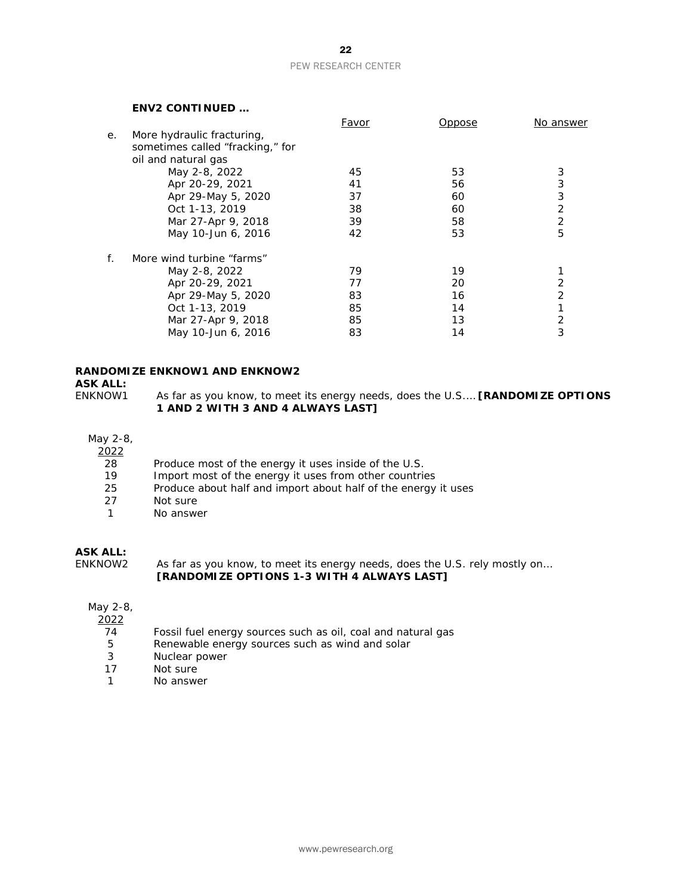# PEW RESEARCH CENTER

#### **ENV2 CONTINUED …**

|    |                                  | Favor | Oppose | <u>No answer</u> |
|----|----------------------------------|-------|--------|------------------|
| е. | More hydraulic fracturing,       |       |        |                  |
|    | sometimes called "fracking," for |       |        |                  |
|    | oil and natural gas              |       |        |                  |
|    | May 2-8, 2022                    | 45    | 53     | 3                |
|    | Apr 20-29, 2021                  | 41    | 56     | 3                |
|    | Apr 29-May 5, 2020               | 37    | 60     | 3                |
|    | Oct 1-13, 2019                   | 38    | 60     | $\overline{2}$   |
|    | Mar 27-Apr 9, 2018               | 39    | 58     | 2                |
|    | May 10-Jun 6, 2016               | 42    | 53     | 5                |
| f. | More wind turbine "farms"        |       |        |                  |
|    | May 2-8, 2022                    | 79    | 19     |                  |
|    | Apr 20-29, 2021                  | 77    | 20     | 2                |
|    | Apr 29-May 5, 2020               | 83    | 16     | 2                |
|    | Oct 1-13, 2019                   | 85    | 14     | 1                |
|    | Mar 27-Apr 9, 2018               | 85    | 13     | 2                |
|    | May 10-Jun 6, 2016               | 83    | 14     | 3                |
|    |                                  |       |        |                  |

#### **RANDOMIZE ENKNOW1 AND ENKNOW2**

**ASK ALL:**

As far as you know, to meet its energy needs, does the U.S.... **[RANDOMIZE OPTIONS 1 AND 2 WITH 3 AND 4 ALWAYS LAST]**

#### May 2-8,

2022

- 28 Produce most of the energy it uses inside of the U.S.<br>19 Import most of the energy it uses from other countries
- 19 Import most of the energy it uses from other countries<br>25 Produce about half and import about half of the energy
- 25 Produce about half and import about half of the energy it uses<br>27 Mot sure
- Not sure
- 1 No answer

#### **ASK ALL:**

ENKNOW2 As far as you know, to meet its energy needs, does the U.S. rely mostly on… **[RANDOMIZE OPTIONS 1-3 WITH 4 ALWAYS LAST]**

#### May 2-8,

| 2022 |                                                              |
|------|--------------------------------------------------------------|
| 74   | Fossil fuel energy sources such as oil, coal and natural gas |
| 5    | Renewable energy sources such as wind and solar              |
| 3    | Nuclear power                                                |
| 17   | Not sure                                                     |
|      | No answer                                                    |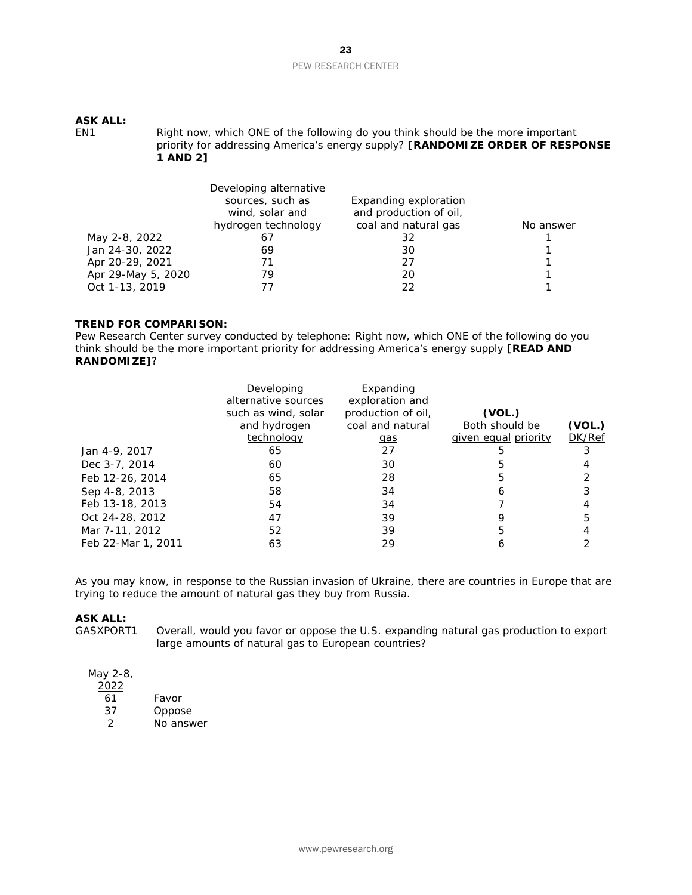# **ASK ALL:**

Right now, which ONE of the following do you think should be the more important priority for addressing America's energy supply? **[RANDOMIZE ORDER OF RESPONSE 1 AND 2]**

|                    | Developing alternative<br>sources, such as<br>wind, solar and | Expanding exploration<br>and production of oil, |           |
|--------------------|---------------------------------------------------------------|-------------------------------------------------|-----------|
|                    | hydrogen technology                                           | coal and natural gas                            | No answer |
| May 2-8, 2022      | 61                                                            | 32                                              |           |
| Jan 24-30, 2022    | 69                                                            | 30                                              |           |
| Apr 20-29, 2021    | 71                                                            | 27                                              | 1         |
| Apr 29-May 5, 2020 | 79                                                            | 20                                              |           |
| Oct 1-13, 2019     |                                                               | フフ                                              |           |

#### *TREND FOR COMPARISON:*

*Pew Research Center survey conducted by telephone: Right now, which ONE of the following do you think should be the more important priority for addressing America's energy supply [READ AND RANDOMIZE]?*

|                    | Developing<br>alternative sources<br>such as wind, solar<br>and hydrogen | Expanding<br>exploration and<br>production of oil,<br>coal and natural | (VOL.)<br>Both should be    | (VOL.)        |
|--------------------|--------------------------------------------------------------------------|------------------------------------------------------------------------|-----------------------------|---------------|
|                    | technology                                                               | gas                                                                    | <i>given equal priority</i> | <b>DK/Ref</b> |
| Jan 4-9, 2017      | 65                                                                       | 27                                                                     |                             |               |
| Dec 3-7, 2014      | 60                                                                       | 30                                                                     |                             |               |
| Feb 12-26, 2014    | 65                                                                       | 28                                                                     | 5                           |               |
| Sep 4-8, 2013      | 58                                                                       | 34                                                                     | h                           |               |
| Feb 13-18, 2013    | 54                                                                       | 34                                                                     |                             |               |
| Oct 24-28, 2012    | 47                                                                       | 39                                                                     |                             |               |
| Mar 7-11, 2012     | 52                                                                       | 39                                                                     |                             |               |
| Feb 22-Mar 1, 2011 | 63                                                                       | 29                                                                     |                             |               |

As you may know, in response to the Russian invasion of Ukraine, there are countries in Europe that are trying to reduce the amount of natural gas they buy from Russia.

# **ASK ALL:**<br>GASXPORT1

Overall, would you favor or oppose the U.S. expanding natural gas production to export large amounts of natural gas to European countries?

May 2-8, 2022 61 Favor<br>37 Oppos **Oppose** 2 No answer